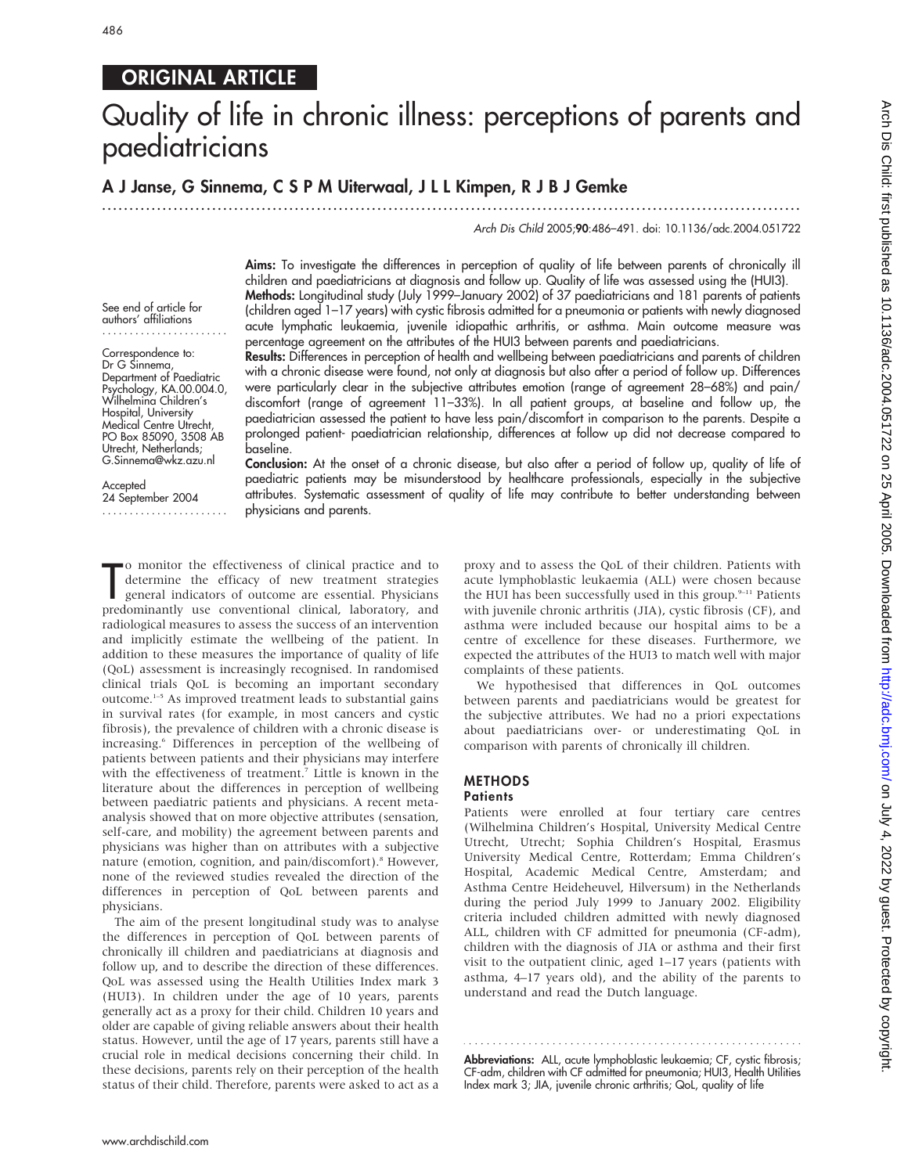See end of article for authors' affiliations ....................... Correspondence to: Dr G Sinnema, Department of Paediatric Psychology, KA.00.004.0, Wilhelmina Children's Hospital, University Medical Centre Utrecht, PO Box 85090, 3508 AB Utrecht, Netherlands;

# ORIGINAL ARTICLE

# Quality of life in chronic illness: perceptions of parents and paediatricians

## A J Janse, G Sinnema, C S P M Uiterwaal, J L L Kimpen, R J B J Gemke

...............................................................................................................................

Arch Dis Child 2005;90:486–491. doi: 10.1136/adc.2004.051722

Aims: To investigate the differences in perception of quality of life between parents of chronically ill children and paediatricians at diagnosis and follow up. Quality of life was assessed using the (HUI3). Methods: Longitudinal study (July 1999-January 2002) of 37 paediatricians and 181 parents of patients (children aged 1–17 years) with cystic fibrosis admitted for a pneumonia or patients with newly diagnosed acute lymphatic leukaemia, juvenile idiopathic arthritis, or asthma. Main outcome measure was percentage agreement on the attributes of the HUI3 between parents and paediatricians.

Results: Differences in perception of health and wellbeing between paediatricians and parents of children with a chronic disease were found, not only at diagnosis but also after a period of follow up. Differences were particularly clear in the subjective attributes emotion (range of agreement 28–68%) and pain/ discomfort (range of agreement 11–33%). In all patient groups, at baseline and follow up, the paediatrician assessed the patient to have less pain/discomfort in comparison to the parents. Despite a prolonged patient- paediatrician relationship, differences at follow up did not decrease compared to baseline.

G.Sinnema@wkz.azu.nl **Accepted** 24 September 2004 .......................

Conclusion: At the onset of a chronic disease, but also after a period of follow up, quality of life of paediatric patients may be misunderstood by healthcare professionals, especially in the subjective attributes. Systematic assessment of quality of life may contribute to better understanding between physicians and parents.

To monitor the effectiveness of clinical practice and to<br>determine the efficacy of new treatment strategies<br>general indicators of outcome are essential. Physicians<br>predominantly use conventional clinical, laboratory, and o monitor the effectiveness of clinical practice and to determine the efficacy of new treatment strategies general indicators of outcome are essential. Physicians radiological measures to assess the success of an intervention and implicitly estimate the wellbeing of the patient. In addition to these measures the importance of quality of life (QoL) assessment is increasingly recognised. In randomised clinical trials QoL is becoming an important secondary outcome.<sup>1-5</sup> As improved treatment leads to substantial gains in survival rates (for example, in most cancers and cystic fibrosis), the prevalence of children with a chronic disease is increasing.6 Differences in perception of the wellbeing of patients between patients and their physicians may interfere with the effectiveness of treatment.<sup>7</sup> Little is known in the literature about the differences in perception of wellbeing between paediatric patients and physicians. A recent metaanalysis showed that on more objective attributes (sensation, self-care, and mobility) the agreement between parents and physicians was higher than on attributes with a subjective nature (emotion, cognition, and pain/discomfort).<sup>8</sup> However, none of the reviewed studies revealed the direction of the differences in perception of QoL between parents and physicians.

The aim of the present longitudinal study was to analyse the differences in perception of QoL between parents of chronically ill children and paediatricians at diagnosis and follow up, and to describe the direction of these differences. QoL was assessed using the Health Utilities Index mark 3 (HUI3). In children under the age of 10 years, parents generally act as a proxy for their child. Children 10 years and older are capable of giving reliable answers about their health status. However, until the age of 17 years, parents still have a crucial role in medical decisions concerning their child. In these decisions, parents rely on their perception of the health status of their child. Therefore, parents were asked to act as a proxy and to assess the QoL of their children. Patients with acute lymphoblastic leukaemia (ALL) were chosen because the HUI has been successfully used in this group.<sup>9-11</sup> Patients with juvenile chronic arthritis (JIA), cystic fibrosis (CF), and asthma were included because our hospital aims to be a centre of excellence for these diseases. Furthermore, we expected the attributes of the HUI3 to match well with major complaints of these patients.

We hypothesised that differences in QoL outcomes between parents and paediatricians would be greatest for the subjective attributes. We had no a priori expectations about paediatricians over- or underestimating QoL in comparison with parents of chronically ill children.

#### METHODS

#### **Patients**

Patients were enrolled at four tertiary care centres (Wilhelmina Children's Hospital, University Medical Centre Utrecht, Utrecht; Sophia Children's Hospital, Erasmus University Medical Centre, Rotterdam; Emma Children's Hospital, Academic Medical Centre, Amsterdam; and Asthma Centre Heideheuvel, Hilversum) in the Netherlands during the period July 1999 to January 2002. Eligibility criteria included children admitted with newly diagnosed ALL, children with CF admitted for pneumonia (CF-adm), children with the diagnosis of JIA or asthma and their first visit to the outpatient clinic, aged 1–17 years (patients with asthma, 4–17 years old), and the ability of the parents to understand and read the Dutch language.

Abbreviations: ALL, acute lymphoblastic leukaemia; CF, cystic fibrosis; CF-adm, children with CF admitted for pneumonia; HUI3, Health Utilities Index mark 3; JIA, juvenile chronic arthritis; QoL, quality of life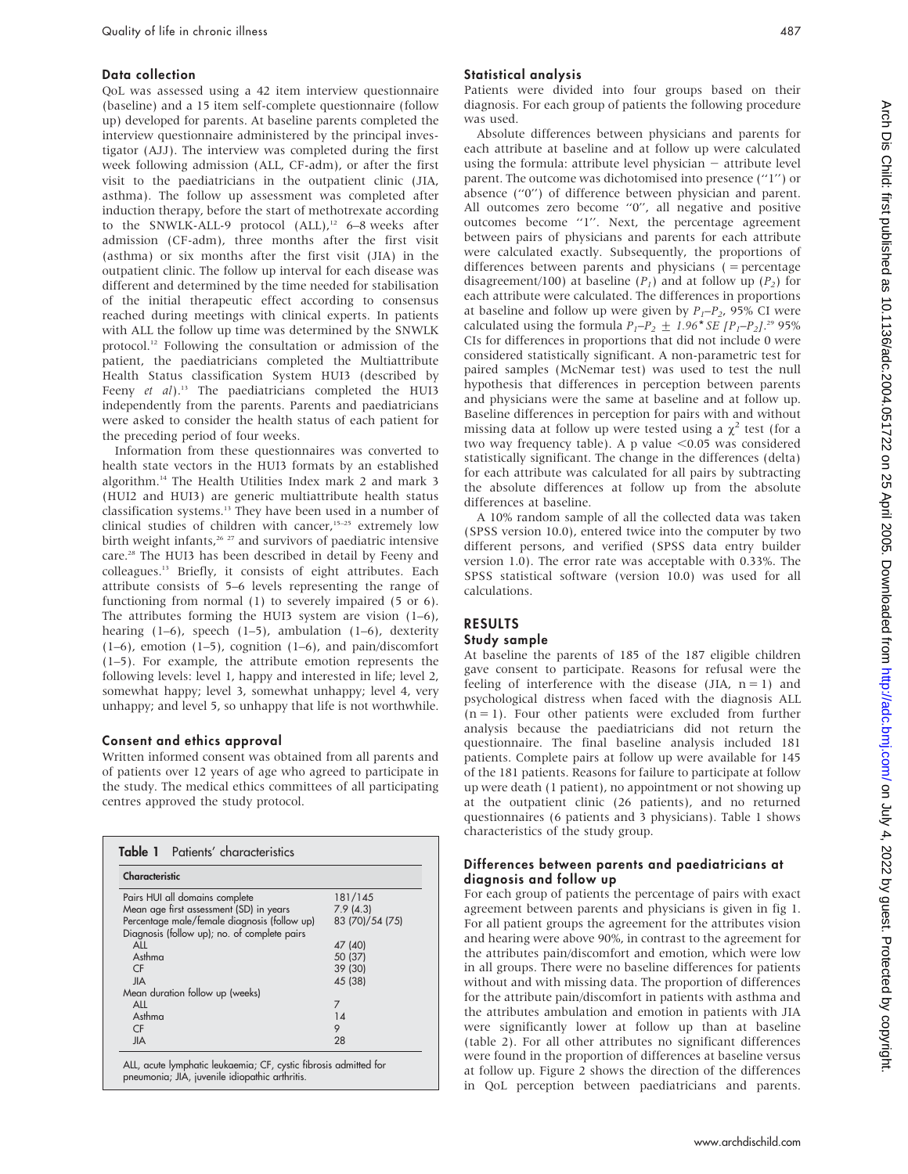#### Data collection

QoL was assessed using a 42 item interview questionnaire (baseline) and a 15 item self-complete questionnaire (follow up) developed for parents. At baseline parents completed the interview questionnaire administered by the principal investigator (AJJ). The interview was completed during the first week following admission (ALL, CF-adm), or after the first visit to the paediatricians in the outpatient clinic (JIA, asthma). The follow up assessment was completed after induction therapy, before the start of methotrexate according to the SNWLK-ALL-9 protocol (ALL),<sup>12</sup> 6-8 weeks after admission (CF-adm), three months after the first visit (asthma) or six months after the first visit (JIA) in the outpatient clinic. The follow up interval for each disease was different and determined by the time needed for stabilisation of the initial therapeutic effect according to consensus reached during meetings with clinical experts. In patients with ALL the follow up time was determined by the SNWLK protocol.12 Following the consultation or admission of the patient, the paediatricians completed the Multiattribute Health Status classification System HUI3 (described by Feeny et al).<sup>13</sup> The paediatricians completed the HUI3 independently from the parents. Parents and paediatricians were asked to consider the health status of each patient for the preceding period of four weeks.

Information from these questionnaires was converted to health state vectors in the HUI3 formats by an established algorithm.14 The Health Utilities Index mark 2 and mark 3 (HUI2 and HUI3) are generic multiattribute health status classification systems.13 They have been used in a number of clinical studies of children with cancer,<sup>15-25</sup> extremely low birth weight infants,<sup>26</sup> <sup>27</sup> and survivors of paediatric intensive care.28 The HUI3 has been described in detail by Feeny and colleagues.13 Briefly, it consists of eight attributes. Each attribute consists of 5–6 levels representing the range of functioning from normal (1) to severely impaired (5 or 6). The attributes forming the HUI3 system are vision (1–6), hearing (1–6), speech (1–5), ambulation (1–6), dexterity  $(1-6)$ , emotion  $(1-5)$ , cognition  $(1-6)$ , and pain/discomfort (1–5). For example, the attribute emotion represents the following levels: level 1, happy and interested in life; level 2, somewhat happy; level 3, somewhat unhappy; level 4, very unhappy; and level 5, so unhappy that life is not worthwhile.

## Consent and ethics approval

Written informed consent was obtained from all parents and of patients over 12 years of age who agreed to participate in the study. The medical ethics committees of all participating centres approved the study protocol.

| Characteristic                               |                 |
|----------------------------------------------|-----------------|
| Pairs HUI all domains complete               | 181/145         |
| Mean age first assessment (SD) in years      | 7.9(4.3)        |
| Percentage male/female diagnosis (follow up) | 83 (70)/54 (75) |
| Diagnosis (follow up); no. of complete pairs |                 |
| ALL                                          | 47 (40)         |
| Asthma                                       | 50 (37)         |
| <b>CF</b>                                    | 39 (30)         |
| <b>JIA</b>                                   | 45 (38)         |
| Mean duration follow up (weeks)              |                 |
| ALL                                          | 7               |
| Asthma                                       | 14              |
| <b>CF</b>                                    | 9               |
| <b>JIA</b>                                   | 28              |

## Statistical analysis

Patients were divided into four groups based on their diagnosis. For each group of patients the following procedure was used.

Absolute differences between physicians and parents for each attribute at baseline and at follow up were calculated using the formula: attribute level physician  $-$  attribute level parent. The outcome was dichotomised into presence (''1'') or absence (''0'') of difference between physician and parent. All outcomes zero become ''0'', all negative and positive outcomes become ''1''. Next, the percentage agreement between pairs of physicians and parents for each attribute were calculated exactly. Subsequently, the proportions of differences between parents and physicians ( = percentage disagreement/100) at baseline  $(P_1)$  and at follow up  $(P_2)$  for each attribute were calculated. The differences in proportions at baseline and follow up were given by  $P_1-P_2$ , 95% CI were calculated using the formula  $P_1-P_2 \pm 1.96$ \* SE  $[P_1-P_2]$ <sup>29</sup> 95% CIs for differences in proportions that did not include 0 were considered statistically significant. A non-parametric test for paired samples (McNemar test) was used to test the null hypothesis that differences in perception between parents and physicians were the same at baseline and at follow up. Baseline differences in perception for pairs with and without missing data at follow up were tested using a  $\chi^2$  test (for a two way frequency table). A p value  $<$  0.05 was considered statistically significant. The change in the differences (delta) for each attribute was calculated for all pairs by subtracting the absolute differences at follow up from the absolute differences at baseline.

A 10% random sample of all the collected data was taken (SPSS version 10.0), entered twice into the computer by two different persons, and verified (SPSS data entry builder version 1.0). The error rate was acceptable with 0.33%. The SPSS statistical software (version 10.0) was used for all calculations.

## RESULTS Study sample

At baseline the parents of 185 of the 187 eligible children gave consent to participate. Reasons for refusal were the feeling of interference with the disease (JIA,  $n = 1$ ) and psychological distress when faced with the diagnosis ALL  $(n = 1)$ . Four other patients were excluded from further analysis because the paediatricians did not return the questionnaire. The final baseline analysis included 181 patients. Complete pairs at follow up were available for 145 of the 181 patients. Reasons for failure to participate at follow up were death (1 patient), no appointment or not showing up at the outpatient clinic (26 patients), and no returned questionnaires (6 patients and 3 physicians). Table 1 shows characteristics of the study group.

## Differences between parents and paediatricians at diagnosis and follow up

For each group of patients the percentage of pairs with exact agreement between parents and physicians is given in fig 1. For all patient groups the agreement for the attributes vision and hearing were above 90%, in contrast to the agreement for the attributes pain/discomfort and emotion, which were low in all groups. There were no baseline differences for patients without and with missing data. The proportion of differences for the attribute pain/discomfort in patients with asthma and the attributes ambulation and emotion in patients with JIA were significantly lower at follow up than at baseline (table 2). For all other attributes no significant differences were found in the proportion of differences at baseline versus at follow up. Figure 2 shows the direction of the differences in QoL perception between paediatricians and parents.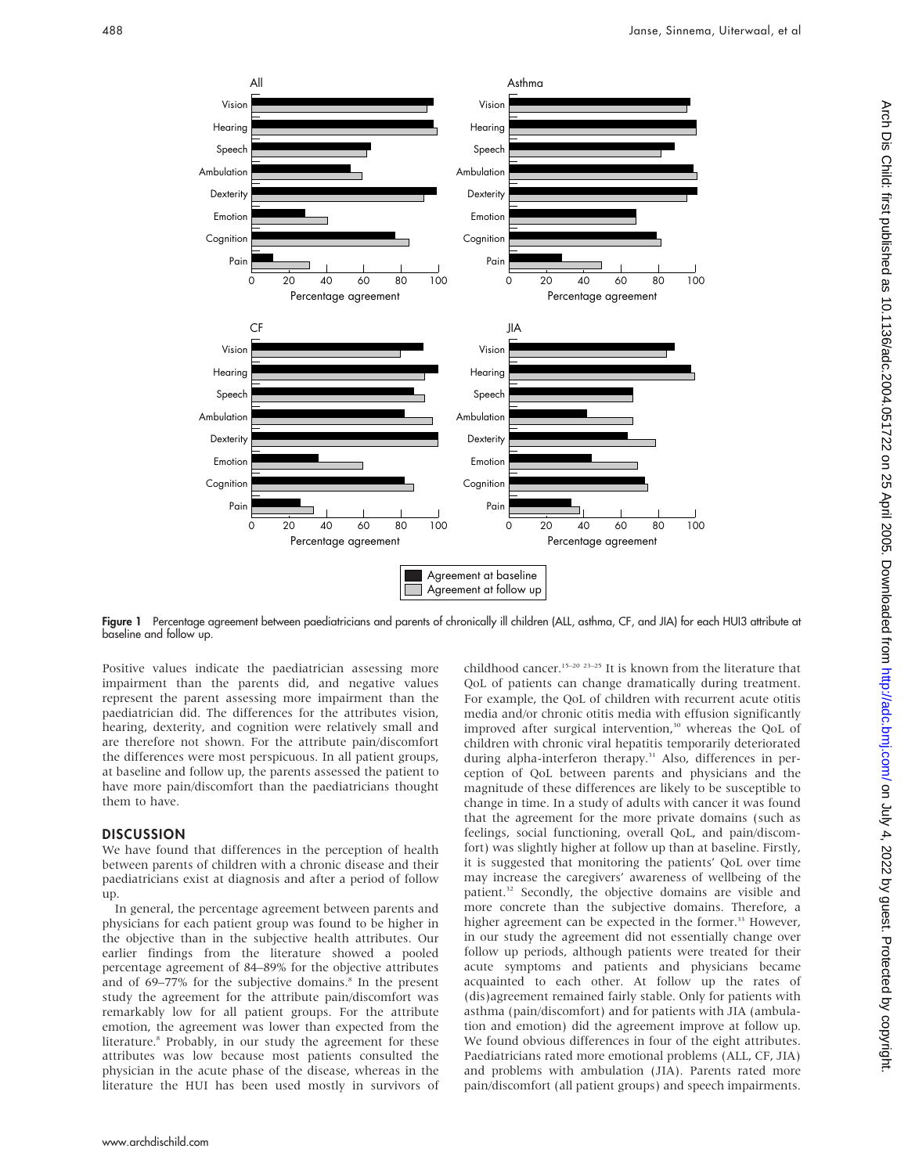

Figure 1 Percentage agreement between paediatricians and parents of chronically ill children (ALL, asthma, CF, and JIA) for each HUI3 attribute at baseline and follow up.

Positive values indicate the paediatrician assessing more impairment than the parents did, and negative values represent the parent assessing more impairment than the paediatrician did. The differences for the attributes vision, hearing, dexterity, and cognition were relatively small and are therefore not shown. For the attribute pain/discomfort the differences were most perspicuous. In all patient groups, at baseline and follow up, the parents assessed the patient to have more pain/discomfort than the paediatricians thought them to have.

## **DISCUSSION**

We have found that differences in the perception of health between parents of children with a chronic disease and their paediatricians exist at diagnosis and after a period of follow up.

In general, the percentage agreement between parents and physicians for each patient group was found to be higher in the objective than in the subjective health attributes. Our earlier findings from the literature showed a pooled percentage agreement of 84–89% for the objective attributes and of 69–77% for the subjective domains.<sup>8</sup> In the present study the agreement for the attribute pain/discomfort was remarkably low for all patient groups. For the attribute emotion, the agreement was lower than expected from the literature.<sup>8</sup> Probably, in our study the agreement for these attributes was low because most patients consulted the physician in the acute phase of the disease, whereas in the literature the HUI has been used mostly in survivors of

childhood cancer.<sup>15-20</sup> <sup>23-25</sup> It is known from the literature that QoL of patients can change dramatically during treatment. For example, the QoL of children with recurrent acute otitis media and/or chronic otitis media with effusion significantly improved after surgical intervention,<sup>30</sup> whereas the QoL of children with chronic viral hepatitis temporarily deteriorated during alpha-interferon therapy.<sup>31</sup> Also, differences in perception of QoL between parents and physicians and the magnitude of these differences are likely to be susceptible to change in time. In a study of adults with cancer it was found that the agreement for the more private domains (such as feelings, social functioning, overall QoL, and pain/discomfort) was slightly higher at follow up than at baseline. Firstly, it is suggested that monitoring the patients' QoL over time may increase the caregivers' awareness of wellbeing of the patient.<sup>32</sup> Secondly, the objective domains are visible and more concrete than the subjective domains. Therefore, a higher agreement can be expected in the former.<sup>33</sup> However, in our study the agreement did not essentially change over follow up periods, although patients were treated for their acute symptoms and patients and physicians became acquainted to each other. At follow up the rates of (dis)agreement remained fairly stable. Only for patients with asthma (pain/discomfort) and for patients with JIA (ambulation and emotion) did the agreement improve at follow up. We found obvious differences in four of the eight attributes. Paediatricians rated more emotional problems (ALL, CF, JIA) and problems with ambulation (JIA). Parents rated more pain/discomfort (all patient groups) and speech impairments.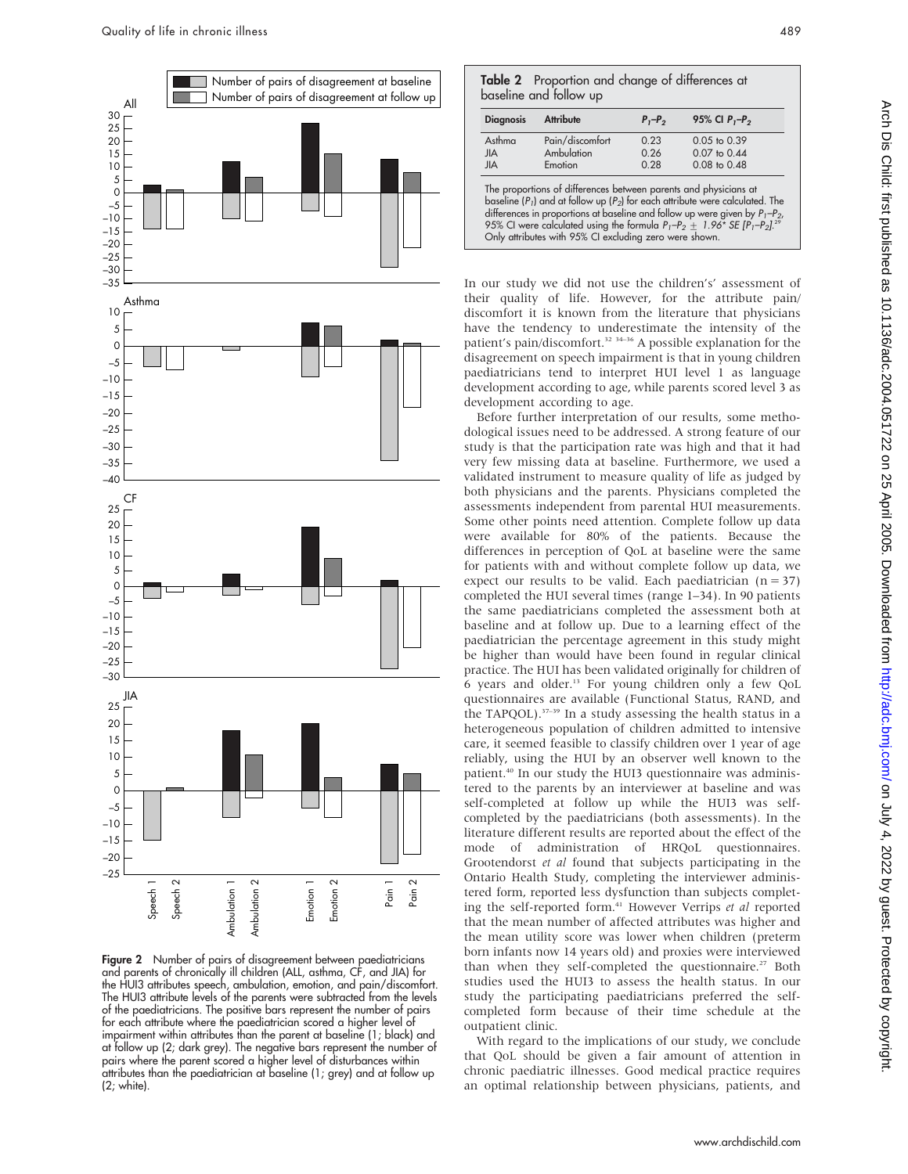

Figure 2 Number of pairs of disagreement between paediatricians and parents of chronically ill children (ALL, asthma, CF, and JIA) for the HUI3 attributes speech, ambulation, emotion, and pain/discomfort. The HUI3 attribute levels of the parents were subtracted from the levels of the paediatricians. The positive bars represent the number of pairs for each attribute where the paediatrician scored a higher level of impairment within attributes than the parent at baseline (1; black) and at follow up (2; dark grey). The negative bars represent the number of pairs where the parent scored a higher level of disturbances within attributes than the paediatrician at baseline (1; grey) and at follow up (2; white).

Table 2 Proportion and change of differences at baseline and follow up

| <b>Diagnosis</b>            | <b>Attribute</b>                               | $P_1-P_2$            | 95% CI $P_1-P_2$                                                                                                |  |
|-----------------------------|------------------------------------------------|----------------------|-----------------------------------------------------------------------------------------------------------------|--|
| Asthma<br><b>JIA</b><br>JIA | Pain/discomfort<br>Ambulation<br>Emotion       | 0.23<br>0.26<br>0.28 | 0.05 to 0.39<br>0.07 to 0.44<br>$0.08$ to $0.48$                                                                |  |
| --                          | $\epsilon$ 1.66<br>$\sim$ $\sim$ $\sim$ $\sim$ |                      | the contract of the contract of the contract of the contract of the contract of the contract of the contract of |  |

The proportions of differences between parents and physicians at baseline ( $P_1$ ) and at follow up ( $P_2$ ) for each attribute were calculated. The differences in proportions at baseline and follow up were given by  $P_1-P_2$ ,<br>05% Clauses, selected wine the feature B\_B\_i\_1.04\* SE D\_B\_1.22 95% CI were calculated using the formula  $P_1-P_2 \pm 1.96$ \* SE [ $P_1-P_2$ ]. Only attributes with 95% CI excluding zero were shown.

In our study we did not use the children's' assessment of their quality of life. However, for the attribute pain/ discomfort it is known from the literature that physicians have the tendency to underestimate the intensity of the patient's pain/discomfort.<sup>32</sup> <sup>34-36</sup> A possible explanation for the disagreement on speech impairment is that in young children paediatricians tend to interpret HUI level 1 as language development according to age, while parents scored level 3 as development according to age.

Before further interpretation of our results, some methodological issues need to be addressed. A strong feature of our study is that the participation rate was high and that it had very few missing data at baseline. Furthermore, we used a validated instrument to measure quality of life as judged by both physicians and the parents. Physicians completed the assessments independent from parental HUI measurements. Some other points need attention. Complete follow up data were available for 80% of the patients. Because the differences in perception of QoL at baseline were the same for patients with and without complete follow up data, we expect our results to be valid. Each paediatrician  $(n = 37)$ completed the HUI several times (range 1–34). In 90 patients the same paediatricians completed the assessment both at baseline and at follow up. Due to a learning effect of the paediatrician the percentage agreement in this study might be higher than would have been found in regular clinical practice. The HUI has been validated originally for children of 6 years and older.13 For young children only a few QoL questionnaires are available (Functional Status, RAND, and the TAPQOL).37–39 In a study assessing the health status in a heterogeneous population of children admitted to intensive care, it seemed feasible to classify children over 1 year of age reliably, using the HUI by an observer well known to the patient.<sup>40</sup> In our study the HUI3 questionnaire was administered to the parents by an interviewer at baseline and was self-completed at follow up while the HUI3 was selfcompleted by the paediatricians (both assessments). In the literature different results are reported about the effect of the mode of administration of HRQoL questionnaires. Grootendorst et al found that subjects participating in the Ontario Health Study, completing the interviewer administered form, reported less dysfunction than subjects completing the self-reported form.<sup>41</sup> However Verrips et al reported that the mean number of affected attributes was higher and the mean utility score was lower when children (preterm born infants now 14 years old) and proxies were interviewed than when they self-completed the questionnaire.<sup>27</sup> Both studies used the HUI3 to assess the health status. In our study the participating paediatricians preferred the selfcompleted form because of their time schedule at the outpatient clinic.

With regard to the implications of our study, we conclude that QoL should be given a fair amount of attention in chronic paediatric illnesses. Good medical practice requires an optimal relationship between physicians, patients, and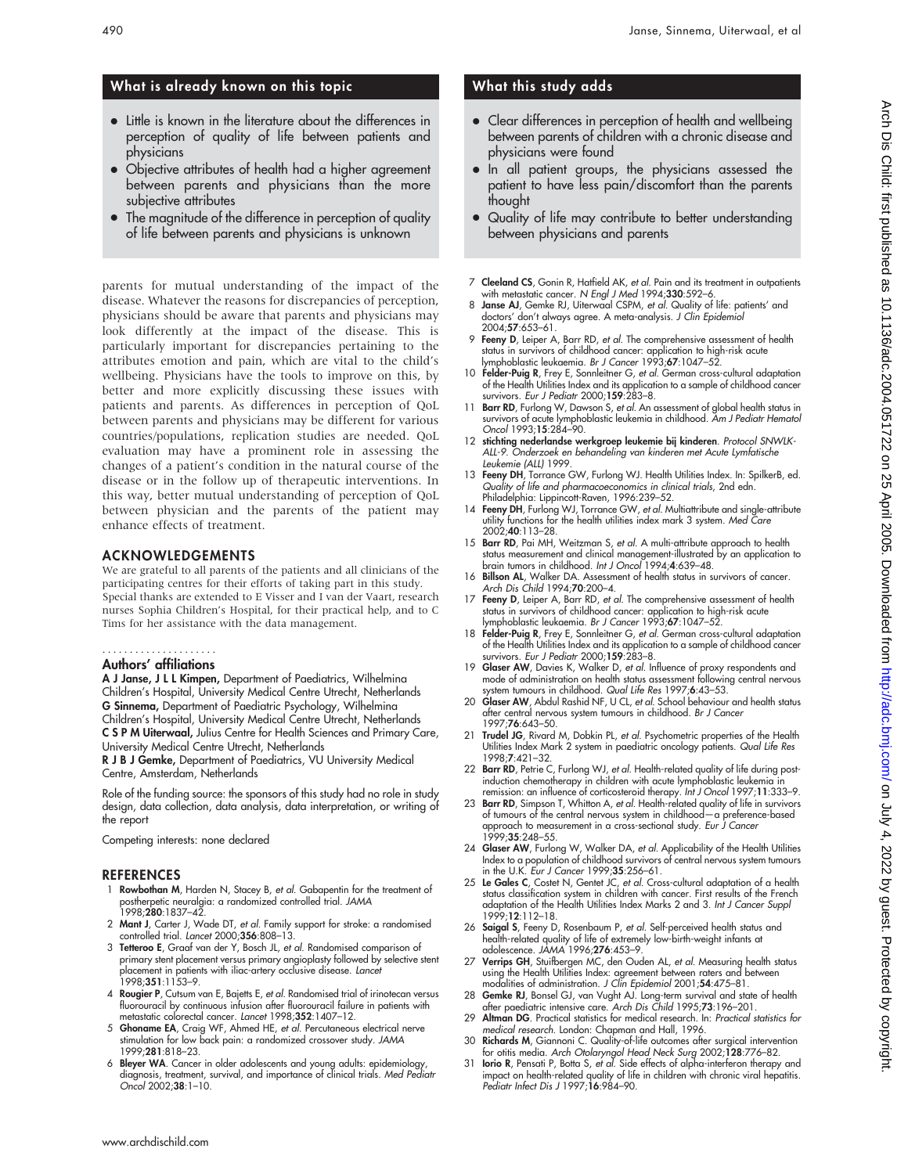## What is already known on this topic

- Little is known in the literature about the differences in perception of quality of life between patients and physicians
- Objective attributes of health had a higher agreement between parents and physicians than the more subjective attributes
- The magnitude of the difference in perception of quality of life between parents and physicians is unknown

parents for mutual understanding of the impact of the disease. Whatever the reasons for discrepancies of perception, physicians should be aware that parents and physicians may look differently at the impact of the disease. This is particularly important for discrepancies pertaining to the attributes emotion and pain, which are vital to the child's wellbeing. Physicians have the tools to improve on this, by better and more explicitly discussing these issues with patients and parents. As differences in perception of QoL between parents and physicians may be different for various countries/populations, replication studies are needed. QoL evaluation may have a prominent role in assessing the changes of a patient's condition in the natural course of the disease or in the follow up of therapeutic interventions. In this way, better mutual understanding of perception of QoL between physician and the parents of the patient may enhance effects of treatment.

## ACKNOWLEDGEMENTS

We are grateful to all parents of the patients and all clinicians of the participating centres for their efforts of taking part in this study. Special thanks are extended to E Visser and I van der Vaart, research nurses Sophia Children's Hospital, for their practical help, and to C Tims for her assistance with the data management.

#### Authors' affiliations .....................

A J Janse, J L L Kimpen, Department of Paediatrics, Wilhelmina Children's Hospital, University Medical Centre Utrecht, Netherlands G Sinnema, Department of Paediatric Psychology, Wilhelmina Children's Hospital, University Medical Centre Utrecht, Netherlands C S P M Uiterwaal, Julius Centre for Health Sciences and Primary Care, University Medical Centre Utrecht, Netherlands

R J B J Gemke, Department of Paediatrics, VU University Medical Centre, Amsterdam, Netherlands

Role of the funding source: the sponsors of this study had no role in study design, data collection, data analysis, data interpretation, or writing of the report

Competing interests: none declared

## REFERENCES

- 1 Rowbothan M, Harden N, Stacey B, et al. Gabapentin for the treatment of postherpetic neuralgia: a randomized controlled trial. *JAMA*<br>1998;**280**:1837–42.
- 2 Mant J, Carter J, Wade DT, et al. Family support for stroke: a randomised controlled trial. Lancet 2000;356:808–13.
- 3 Tetteroo E, Graaf van der Y, Bosch JL, et al. Randomised comparison of primary stent placement versus primary angioplasty followed by selective stent placement in patients with iliac-artery occlusive disease. Lancet 1998;351:1153–9.
- 4 Rougier P, Cutsum van E, Bajetts E, et al. Randomised trial of irinotecan versus fluorouracil by continuous infusion after fluorouracil failure in patients with metastatic colorectal cancer. Lancet 1998;352:1407–12.
- 5 Ghoname EA, Craig WF, Ahmed HE, et al. Percutaneous electrical nerve stimulation for low back pain: a randomized crossover study. JAMA 1999;281:818–23.
- 6 Bleyer WA. Cancer in older adolescents and young adults: epidemiology, diagnosis, treatment, survival, and importance of clinical trials. Med Pediatr Oncol 2002;38:1–10.

# What this study adds

- Clear differences in perception of health and wellbeing between parents of children with a chronic disease and physicians were found
- $\bullet$  In all patient groups, the physicians assessed the patient to have less pain/discomfort than the parents thought
- Quality of life may contribute to better understanding between physicians and parents
- 7 **Cleeland CS**, Gonin R, Hatfield AK, *et al.* Pain and its treatment in outpatients<br>with metastatic cancer. N Engl J Med 1994;3**30**:592–6.<br>8 **Janse AJ**, Gemke RJ, Uiterwaal CSPM, *et al.* Quality of life: patients' and
- doctors' don't always agree. A meta-analysis. J Clin Epidemiol 2004;57:653–61.
- 9 Feeny D, Leiper A, Barr RD, et al. The comprehensive assessment of health status in survivors of childhood cancer: application to high-risk acute
- lymphoblastic leukaemia. *Br J Cancer* 1993;**67**:1047–52.<br>10 **Felder-Puig R**, Frey E, Sonnleitner G, *et al.* German cross-cultural adaptation of the Health Utilities Index and its application to a sample of childhood cancer<br>survivors. *Eur J Pediatr* 2000;**159**:283–8.
- 11 Barr RD, Furlong W, Dawson S, et al. An assessment of global health status in survivors of acute lymphoblastic leukemia in childhood. Am J Pediatr Hematol Oncol 1993;15:284–90.
- 12 stichting nederlandse werkgroep leukemie bij kinderen. Protocol SNWLK-ALL-9. Onderzoek en behandeling van kinderen met Acute Lymfatische Leukemie (ALL) 1999.
- 13 Feeny DH, Torrance GW, Furlong WJ. Health Utilities Index. In: SpilkerB, ed. Quality of life and pharmacoeconomics in clinical trials, 2nd edn. Philadelphia: Lippincott-Raven, 1996:239–52.
- 14 Feeny DH, Furlong WJ, Torrance GW, et al. Multiattribute and single-attribute utility functions for the health utilities index mark 3 system. Med Care 2002;40:113–28.
- 15 Barr RD, Pai MH, Weitzman S, et al. A multi-attribute approach to health status measurement and clinical management-illustrated by an application to<br>brain tumors in childhood. *Int J Oncol* 1994;4:639–48.<br>16 Billson AL, Walker DA. Assessment of health status in survivors of cancer.
- Arch Dis Child 1994;70:200–4.
- 17 **Feeny D**, Leiper A, Barr RD, *et al.* The comprehensive assessment of health<br>status in survivors of childhood cancer: application to high-risk acute<br>lymphoblastic leukaemia. *Br J Cancer* 1993;**67**:1047–52.
- 18 Felder-Puig R, Frey E, Sonnleitner G, et al. German cross-cultural adaptation of the Health Utilities Index and its application to a sample of childhood cancer survivors. Eur J Pediatr 2000;159:283–8.
- 19 Glaser AW, Davies K, Walker D, et al. Influence of proxy respondents and mode of administration on health status assessment tollowing central nervous<br>system tumours in childhood. Qual Life Res 1997;6:43–53.<br>20 **Glaser AW**, Abdul Rashid NF, U CL, *et al.* School behaviour and health status
- after central nervous system tumours in childhood. Br J Cancer 1997;76:643–50.
- 21 Trudel JG, Rivard M, Dobkin PL, et al. Psychometric properties of the Health Utilities Index Mark 2 system in paediatric oncology patients. Qual Life Res 1998;7:421–32.
- 22 Barr RD, Petrie C, Furlong WJ, et al. Health-related quality of life during postinduction chemotherapy in children with acute lymphoblastic leukemia in
- remission: an influence of corticosteroid therapy. Int J Oncol 1997;11:333–9.<br>23 **Barr RD**, Simpson T, Whitton A, *et al.* Health-related quality of life in survivors<br>61 of tumours of the central nervous system in childhoo approach to measurement in a cross-sectional study. Eur J Cancer 1999;35:248–55.
- 24 Glaser AW, Furlong W, Walker DA, et al. Applicability of the Health Utilities Index to a population of childhood survivors of central nervous system tumours
- in the U.K. *Eur J Cancer* 1999;3**5**:256–61.<br>25 **Le Gales C**, Costet N, Gentet JC, *et al.* Cross-cultural adaptation of a health<br>status classification system in children with cancer. First results of the French<br>adaptation 1999;12:112–18.
- 26 Saigal S, Feeny D, Rosenbaum P, et al. Self-perceived health status and health-related quality of life of extremely low-birth-weight infants at adolescence. JAMA 1996;276:453-9.
- Verrips GH, Stuifbergen MC, den Ouden AL, et al. Measuring health status using the Health Utilities Index: agreement between raters and between<br>modalities of administration. *J Clin Epidemiol* 2001;**54**:475–81.
- 
- 28 **Gemke RJ**, Bonsel GJ, van Vught AJ. Long-term survival and state of health<br>1995;**73**:196–201. after paediatric intensive care. Arch Dis Child 1995;**73**:196–201.<br>29 **Altman DG**. Practical statistics for medical research
- medical research. London: Chapman and Hall, 1996.
- 30 Richards M, Giannoni C. Quality-of-life outcomes after surgical intervention for otitis media. Arch Otolaryngol Head Neck Surg 2002;128:776–82. 31 Iorio R, Pensati P, Botta S, et al. Side effects of alpha-interferon therapy and
- impact on health-related quality of life in children with chronic viral hepatitis. Pediatr Infect Dis J 1997;16:984-90.